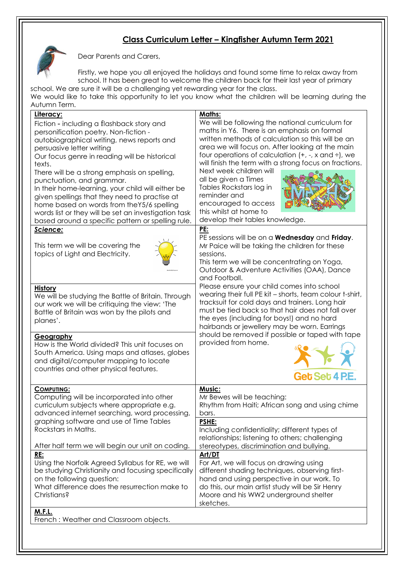## **Class Curriculum Letter – Kingfisher Autumn Term 2021**



Dear Parents and Carers,

Firstly, we hope you all enjoyed the holidays and found some time to relax away from school. It has been great to welcome the children back for their last year of primary school. We are sure it will be a challenging yet rewarding year for the class.

We would like to take this opportunity to let you know what the children will be learning during the Autumn Term.

| <u> Literacy:</u><br>Fiction - including a flashback story and<br>personification poetry. Non-fiction -<br>autobiographical writing, news reports and<br>persuasive letter writing<br>Our focus genre in reading will be historical<br>texts.<br>There will be a strong emphasis on spelling,<br>punctuation, and grammar.<br>In their home-learning, your child will either be<br>given spellings that they need to practise at<br>home based on words from theY5/6 spelling<br>words list or they will be set an investigation task<br>based around a specific pattern or spelling rule. | Maths:<br>We will be following the national curriculum for<br>maths in Y6. There is an emphasis on formal<br>written methods of calculation so this will be an<br>area we will focus on. After looking at the main<br>four operations of calculation $(+, -, x$ and $\div)$ , we<br>will finish the term with a strong focus on fractions.<br>Next week children will<br>all be given a Times<br>Tables Rockstars log in<br>reminder and<br>encouraged to access<br>this whilst at home to<br>develop their tables knowledge. |
|--------------------------------------------------------------------------------------------------------------------------------------------------------------------------------------------------------------------------------------------------------------------------------------------------------------------------------------------------------------------------------------------------------------------------------------------------------------------------------------------------------------------------------------------------------------------------------------------|-------------------------------------------------------------------------------------------------------------------------------------------------------------------------------------------------------------------------------------------------------------------------------------------------------------------------------------------------------------------------------------------------------------------------------------------------------------------------------------------------------------------------------|
| Science:<br>This term we will be covering the<br>topics of Light and Electricity.                                                                                                                                                                                                                                                                                                                                                                                                                                                                                                          | <b>PE:</b><br>PE sessions will be on a Wednesday and Friday.<br>Mr Paice will be taking the children for these<br>sessions.<br>This term we will be concentrating on Yoga,<br>Outdoor & Adventure Activities (OAA), Dance<br>and Football.                                                                                                                                                                                                                                                                                    |
| <b>History</b><br>We will be studying the Battle of Britain. Through<br>our work we will be critiquing the view: 'The<br>Battle of Britain was won by the pilots and<br>planes'.                                                                                                                                                                                                                                                                                                                                                                                                           | Please ensure your child comes into school<br>wearing their full PE kit - shorts, team colour t-shirt,<br>tracksuit for cold days and trainers. Long hair<br>must be tied back so that hair does not fall over<br>the eyes (including for boys!) and no hard<br>hairbands or jewellery may be worn. Earrings                                                                                                                                                                                                                  |
| Geography<br>How is the World divided? This unit focuses on<br>South America. Using maps and atlases, globes<br>and digital/computer mapping to locate<br>countries and other physical features.                                                                                                                                                                                                                                                                                                                                                                                           | should be removed if possible or taped with tape<br>provided from home.<br>Get Set 4 P.E.                                                                                                                                                                                                                                                                                                                                                                                                                                     |
| <b>COMPUTING:</b><br>Computing will be incorporated into other<br>curriculum subjects where appropriate e.g.<br>advanced internet searching, word processing,                                                                                                                                                                                                                                                                                                                                                                                                                              | Music:<br>Mr Bewes will be teaching:<br>Rhythm from Haiti; African song and using chime<br>bars.                                                                                                                                                                                                                                                                                                                                                                                                                              |
| graphing software and use of Time Tables<br>Rockstars in Maths.<br>After half term we will begin our unit on coding.                                                                                                                                                                                                                                                                                                                                                                                                                                                                       | <b>PSHE:</b><br>Including confidentiality; different types of<br>relationships; listening to others; challenging<br>stereotypes, discrimination and bullying.                                                                                                                                                                                                                                                                                                                                                                 |
| <b>RE:</b><br>Using the Norfolk Agreed Syllabus for RE, we will<br>be studying Christianity and focusing specifically<br>on the following question:<br>What difference does the resurrection make to<br>Christians?                                                                                                                                                                                                                                                                                                                                                                        | Art/DT<br>For Art, we will focus on drawing using<br>different shading techniques, observing first-<br>hand and using perspective in our work. To<br>do this, our main artist study will be Sir Henry<br>Moore and his WW2 underground shelter<br>sketches.                                                                                                                                                                                                                                                                   |
| <b>M.F.L.</b><br>French: Weather and Classroom objects.                                                                                                                                                                                                                                                                                                                                                                                                                                                                                                                                    |                                                                                                                                                                                                                                                                                                                                                                                                                                                                                                                               |